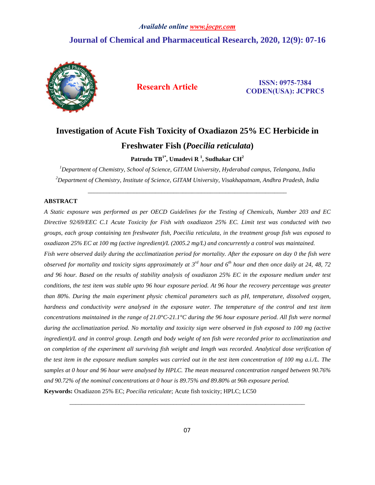## *Available online www.jocpr.com* **Journal of Chemical and Pharmaceutical Research, 2020, 12(9): 07-16**



**Research Article ISSN: 0975-7384 CODEN(USA): JCPRC5**

# **Investigation of Acute Fish Toxicity of Oxadiazon 25% EC Herbicide in Freshwater Fish (***Poecilia reticulata***)**

**Patrudu TB1\* , Umadevi R 1 , Sudhakar CH<sup>2</sup>**

*<sup>1</sup>Department of Chemistry, School of Science, GITAM University, Hyderabad campus, Telangana, India <sup>2</sup>Department of Chemistry, Institute of Science, GITAM University, Visakhapatnam, Andhra Pradesh, India*

\_\_\_\_\_\_\_\_\_\_\_\_\_\_\_\_\_\_\_\_\_\_\_\_\_\_\_\_\_\_\_\_\_\_\_\_\_\_\_\_\_\_\_\_\_\_\_\_\_\_\_\_\_\_\_\_\_\_\_\_\_\_\_\_\_

## **ABSTRACT**

A Static exposure was performed as per OECD Guidelines for the Testing of Chemicals, Number 203 and EC *Directive 92/69/EEC C.1 Acute Toxicity for Fish with oxadiazon 25% EC. Limit test was conducted with two* groups, each group containing ten freshwater fish, Poecilia reticulata, in the treatment group fish was exposed to *oxadiazon 25% EC at 100 mg (active ingredient)/L (2005.2 mg/L) and concurrently a control was maintained.*

Fish were observed daily during the acclimatization period for mortality. After the exposure on day 0 the fish were observed for mortality and toxicity signs approximately at 3<sup>rd</sup> hour and 6<sup>th</sup> hour and then once daily at 24, 48, 72 and 96 hour. Based on the results of stability analysis of oxadiazon 25% EC in the exposure medium under test conditions, the test item was stable upto 96 hour exposure period. At 96 hour the recovery percentage was greater *than 80%. During the main experiment physic chemical parameters such as pH, temperature, dissolved oxygen,* hardness and conductivity were analysed in the exposure water. The temperature of the control and test item concentrations maintained in the range of 21.0°C-21.1°C during the 96 hour exposure period. All fish were normal during the acclimatization period. No mortality and toxicity sign were observed in fish exposed to 100 mg (active ingredient)/L and in control group. Length and body weight of ten fish were recorded prior to acclimatization and on completion of the experiment all surviving fish weight and length was recorded. Analytical dose verification of the test item in the exposure medium samples was carried out in the test item concentration of 100 mg a.i./L. The samples at 0 hour and 96 hour were analysed by HPLC. The mean measured concentration ranged between 90.76% *and 90.72% of the nominal concentrations at 0 hour is 89.75% and 89.80% at 96h exposure period.* **Keywords:** Oxadiazon 25% EC; *Poecilia reticulate*; Acute fish toxicity; HPLC; LC50

*\_\_\_\_\_\_\_\_\_\_\_\_\_\_\_\_\_\_\_\_\_\_\_\_\_\_\_\_\_\_\_\_\_\_\_\_\_\_\_\_\_\_\_\_\_\_\_\_\_\_\_\_\_\_\_\_\_\_\_\_\_\_\_\_\_\_\_\_\_\_\_\_\_\_\_\_\_*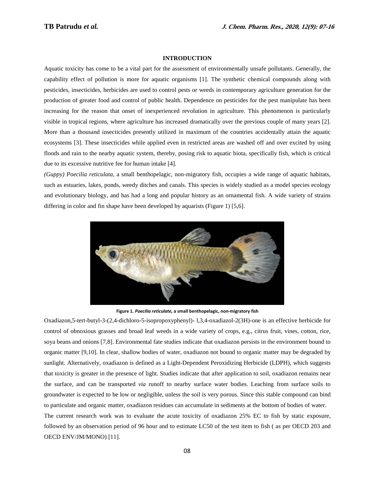#### **INTRODUCTION**

Aquatic toxicity has come to be a vital part for the assessment of environmentally unsafe pollutants. Generally, the capability effect of pollution is more for aquatic organisms [1]. The synthetic chemical compounds along with pesticides, insecticides, herbicides are used to control pests or weeds in contemporary agriculture generation for the production of greater food and control of public health. Dependence on pesticides for the pest manipulate has been increasing for the reason that onset of inexperienced revolution in agriculture. This phenomenon is particularly visible in tropical regions, where agriculture has increased dramatically over the previous couple of many years [2]. More than a thousand insecticides presently utilized in maximum of the countries accidentally attain the aquatic ecosystems [3]. These insecticides while applied even in restricted areas are washed off and over excited by using floods and rain to the nearby aquatic system, thereby, posing risk to aquatic biota, specifically fish, which is critical due to its excessive nutritive fee for human intake [4].

*(Guppy) Poecilia reticulata*, a small benthopelagic, non-migratory fish, occupies a wide range of aquatic habitats, such as estuaries, lakes, ponds, weedy ditches and canals. This species is widely studied as a model species ecology and evolutionary biology, and has had a long and popular history as an ornamental fish. A wide variety of strains differing in color and fin shape have been developed by aquarists (Figure 1) [5,6].



**Figure 1.** *Poecilia reticulate,* **a small benthopelagic, non-migratory fish**

Oxadiazon,5-tert-butyl-3-(2,4-dichloro-5-isopropoxyphenyl)- l,3,4-oxadiazol-2(3H)-one is an effective herbicide for control of obnoxious grasses and broad leaf weeds in a wide variety of crops, e.g., citrus fruit, vines, cotton, rice, soya beans and onions [7,8]. Environmental fate studies indicate that oxadiazon persists in the environment bound to organic matter [9,10]. In clear, shallow bodies of water, oxadiazon not bound to organic matter may be degraded by sunlight. Alternatively, oxadiazon is defined as a Light-Dependent Peroxidizing Herbicide (LDPH), which suggests that toxicity is greater in the presence of light. Studies indicate that after application to soil, oxadiazon remains near the surface, and can be transported *via* runoff to nearby surface water bodies. Leaching from surface soils to groundwater is expected to be low or negligible, unless the soil is very porous. Since this stable compound can bind to particulate and organic matter, oxadiazon residues can accumulate in sediments at the bottom of bodies of water. The current research work was to evaluate the acute toxicity of oxadiazon 25% EC to fish by static exposure, followed by an observation period of 96 hour and to estimate LC50 of the test item to fish ( as per OECD 203 and

OECD ENV/JM/MONO) [11].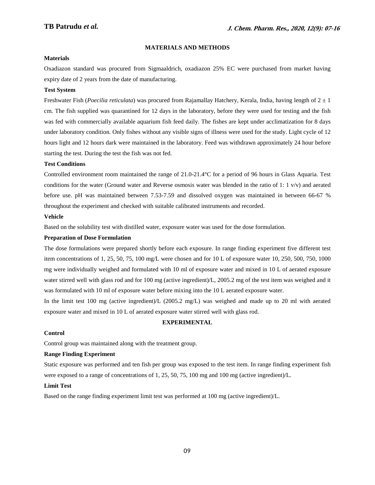## **MATERIALS AND METHODS**

#### **Materials**

Oxadiazon standard was procured from Sigmaaldrich, oxadiazon 25% EC were purchased from market having expiry date of 2 years from the date of manufacturing.

## **Test System**

Freshwater Fish (*Poecilia reticulata*) was procured from Rajamallay Hatchery, Kerala, India, having length of 2 ± 1 cm. The fish supplied was quarantined for 12 days in the laboratory, before they were used for testing and the fish was fed with commercially available aquarium fish feed daily. The fishes are kept under acclimatization for 8 days under laboratory condition. Only fishes without any visible signs of illness were used for the study. Light cycle of 12 hours light and 12 hours dark were maintained in the laboratory. Feed was withdrawn approximately 24 hour before starting the test. During the test the fish was not fed.

#### **Test Conditions**

Controlled environment room maintained the range of 21.0-21.4°C for a period of 96 hours in Glass Aquaria. Test conditions for the water (Ground water and Reverse osmosis water was blended in the ratio of 1: 1 v/v) and aerated before use. pH was maintained between 7.53-7.59 and dissolved oxygen was maintained in between 66-67 % throughout the experiment and checked with suitable calibrated instruments and recorded.

#### **Vehicle**

Based on the solubility test with distilled water, exposure water was used for the dose formulation.

#### **Preparation of Dose Formulation**

The dose formulations were prepared shortly before each exposure. In range finding experiment five different test item concentrations of 1, 25, 50, 75, 100 mg/L were chosen and for 10 L of exposure water 10, 250, 500, 750, 1000 mg were individually weighed and formulated with 10 ml of exposure water and mixed in 10 L of aerated exposure water stirred well with glass rod and for 100 mg (active ingredient)/L, 2005.2 mg of the test item was weighed and it was formulated with 10 ml of exposure water before mixing into the 10 L aerated exposure water.

In the limit test 100 mg (active ingredient)/L (2005.2 mg/L) was weighed and made up to 20 ml with aerated exposure water and mixed in 10 L of aerated exposure water stirred well with glass rod.

#### **EXPERIMENTAL**

#### **Control**

Control group was maintained along with the treatment group.

#### **Range Finding Experiment**

Static exposure was performed and ten fish per group was exposed to the test item. In range finding experiment fish were exposed to a range of concentrations of 1, 25, 50, 75, 100 mg and 100 mg (active ingredient)/L.

#### **Limit Test**

Based on the range finding experiment limit test was performed at 100 mg (active ingredient)/L.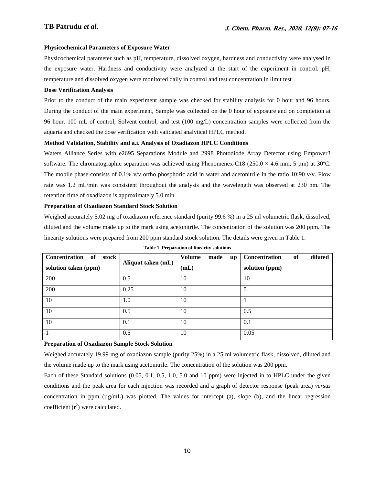#### **Physicochemical Parameters of Exposure Water**

Physicochemical parameter such as pH, temperature, dissolved oxygen, hardness and conductivity were analysed in the exposure water. Hardness and conductivity were analyzed at the start of the experiment in control. pH, temperature and dissolved oxygen were monitored daily in control and test concentration in limit test .

#### **Dose Verification Analysis**

Prior to the conduct of the main experiment sample was checked for stability analysis for 0 hour and 96 hours. During the conduct of the main experiment, Sample was collected on the 0 hour of exposure and on completion at 96 hour. 100 mL of control, Solvent control, and test (100 mg/L) concentration samples were collected from the aquaria and checked the dose verification with validated analytical HPLC method.

#### **Method Validation, Stability and a.i. Analysis of Oxadiazon HPLC Conditions**

Waters Alliance Series with e2695 Separations Module and 2998 Photodiode Array Detector using Empower3 software. The chromatographic separation was achieved using Phenomenex-C18 (250.0  $\times$  4.6 mm, 5 µm) at 30°C. The mobile phase consists of 0.1% v/v ortho phosphoric acid in water and acetonitrile in the ratio 10:90 v/v. Flow rate was 1.2 mL/min was consistent throughout the analysis and the wavelength was observed at 230 nm. The retention time of oxadiazon is approximately 5.0 min.

#### **Preparation of Oxadiazon Standard Stock Solution**

Weighed accurately 5.02 mg of oxadiazon reference standard (purity 99.6 %) in a 25 ml volumetric flask, dissolved, diluted and the volume made up to the mark using acetonitrile. The concentration of the solution was 200 ppm. The linearity solutions were prepared from 200 ppm standard stock solution. The details were given in Table 1.

| Concentration<br><b>of</b><br>stock | Aliquot taken (mL) | Volume<br>made<br><b>up</b> | diluted<br>Concentration<br>of |
|-------------------------------------|--------------------|-----------------------------|--------------------------------|
| solution taken (ppm)                |                    | (mL)                        | solution (ppm)                 |
| 200                                 | 0.5                | 10                          | 10                             |
| 200                                 | 0.25               | 10                          | 5                              |
| 10                                  | 1.0                | 10                          |                                |
| 10                                  | 0.5                | 10                          | 0.5                            |
| 10                                  | 0.1                | 10                          | 0.1                            |
|                                     | 0.5                | 10                          | 0.05                           |

**Table 1. Preparation of linearity solutions**

## **Preparation of Oxadiazon Sample Stock Solution**

Weighed accurately 19.99 mg of oxadiazon sample (purity 25%) in a 25 ml volumetric flask, dissolved, diluted and the volume made up to the mark using acetonitrile. The concentration of the solution was 200 ppm.

Each of these Standard solutions (0.05, 0.1, 0.5, 1.0, 5.0 and 10 ppm) were injected in to HPLC under the given conditions and the peak area for each injection was recorded and a graph of detector response (peak area) *versus* concentration in ppm (µg/mL) was plotted. The values for intercept (a), slope (b), and the linear regression coefficient  $(r^2)$  were calculated.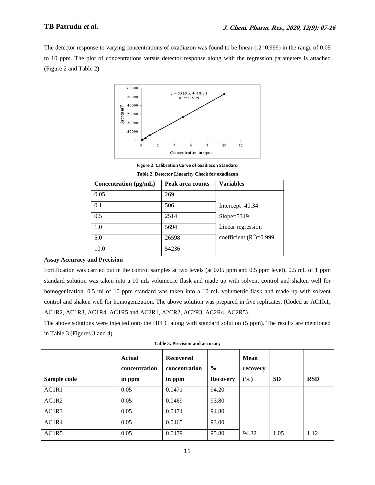## **TB Patrudu** *et al.*

The detector response to varying concentrations of oxadiazon was found to be linear (r2=0.999) in the range of 0.05 to 10 ppm. The plot of concentrations versus detector response along with the regression parameters is attached (Figure 2 and Table 2).



**Figure 2. Calibration Curve of oxadiazon Standard**

| Concentration $(\mu g/mL)$ | Peak area counts | <b>Variables</b>          |
|----------------------------|------------------|---------------------------|
| 0.05                       | 269              |                           |
| 0.1                        | 506              | Intercept $=40.34$        |
| 0.5                        | 2514             | $Slope = 5319$            |
| 1.0                        | 5694             | Linear regression         |
| 5.0                        | 26598            | coefficient $(R^2)=0.999$ |
| 10.0                       | 54236            |                           |

**Table 2. Detector Linearity Check for oxadiazon**

## **Assay Accuracy and Precision**

Fortification was carried out in the control samples at two levels (at 0.05 ppm and 0.5 ppm level). 0.5 mL of 1 ppm standard solution was taken into a 10 mL volumetric flask and made up with solvent control and shaken well for homogenization. 0.5 ml of 10 ppm standard was taken into a 10 mL volumetric flask and made up with solvent control and shaken well for homogenization. The above solution was prepared in five replicates. (Coded as AC1R1, AC1R2, AC1R3, AC1R4, AC1R5 and AC2R1, A2CR2, AC2R3, AC2R4, AC2R5).

The above solutions were injected onto the HPLC along with standard solution (5 ppm). The results are mentioned in Table 3 (Figures 3 and 4).

| Sample code       | <b>Actual</b><br>concentration<br>in ppm | <b>Recovered</b><br>concentration<br>in ppm | $\frac{6}{6}$<br><b>Recovery</b> | <b>Mean</b><br>recovery<br>(%) | <b>SD</b> | <b>RSD</b> |
|-------------------|------------------------------------------|---------------------------------------------|----------------------------------|--------------------------------|-----------|------------|
| AC1R1             | 0.05                                     | 0.0471                                      | 94.20                            |                                |           |            |
| AC1R <sub>2</sub> | 0.05                                     | 0.0469                                      | 93.80                            |                                |           |            |
| AC1R3             | 0.05                                     | 0.0474                                      | 94.80                            |                                |           |            |
| AC1R4             | 0.05                                     | 0.0465                                      | 93.00                            |                                |           |            |
| AC1R5             | 0.05                                     | 0.0479                                      | 95.80                            | 94.32                          | 1.05      | 1.12       |

**Table 3. Precision and accuracy**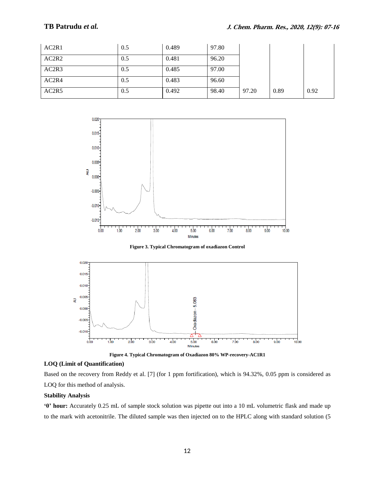## **TB Patrudu** *et al.*

| AC2R1 | 0.5 | 0.489 | 97.80 |       |      |      |
|-------|-----|-------|-------|-------|------|------|
| AC2R2 | 0.5 | 0.481 | 96.20 |       |      |      |
| AC2R3 | 0.5 | 0.485 | 97.00 |       |      |      |
| AC2R4 | 0.5 | 0.483 | 96.60 |       |      |      |
| AC2R5 | 0.5 | 0.492 | 98.40 | 97.20 | 0.89 | 0.92 |



**Figure 3. Typical Chromatogram of oxadiazon Control**



**Figure 4. Typical Chromatogram of Oxadiazon 80% WP-recovery-AC1R1**

## **LOQ (Limit of Quantification)**

Based on the recovery from Reddy et al. [7] (for 1 ppm fortification), which is 94.32%, 0.05 ppm is considered as LOQ for this method of analysis.

## **Stability Analysis**

**'0' hour:** Accurately 0.25 mL of sample stock solution was pipette out into a 10 mL volumetric flask and made up to the mark with acetonitrile. The diluted sample was then injected on to the HPLC along with standard solution (5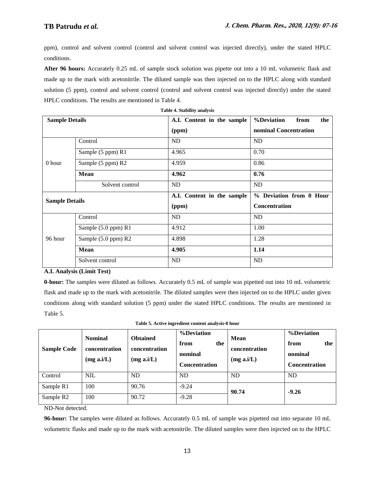ppm), control and solvent control (control and solvent control was injected directly), under the stated HPLC conditions.

**After 96 hours:** Accurately 0.25 mL of sample stock solution was pipette out into a 10 mL volumetric flask and made up to the mark with acetonitrile. The diluted sample was then injected on to the HPLC along with standard solution (5 ppm), control and solvent control (control and solvent control was injected directly) under the stated HPLC conditions. The results are mentioned in Table 4.

| <b>Table 4. Stability analysis</b> |                     |                            |                           |  |  |  |  |  |  |
|------------------------------------|---------------------|----------------------------|---------------------------|--|--|--|--|--|--|
| <b>Sample Details</b>              |                     | A.I. Content in the sample | %Deviation<br>from<br>the |  |  |  |  |  |  |
|                                    |                     | (ppm)                      | nominal Concentration     |  |  |  |  |  |  |
|                                    | Control             | N <sub>D</sub>             | ND                        |  |  |  |  |  |  |
| 0 hour                             | Sample (5 ppm) R1   | 4.965                      | 0.70                      |  |  |  |  |  |  |
|                                    | Sample (5 ppm) R2   | 4.959                      | 0.86                      |  |  |  |  |  |  |
|                                    | <b>Mean</b>         | 4.962                      | 0.76                      |  |  |  |  |  |  |
|                                    | Solvent control     | ND<br>ND                   |                           |  |  |  |  |  |  |
| <b>Sample Details</b>              |                     | A.I. Content in the sample | % Deviation from 0 Hour   |  |  |  |  |  |  |
|                                    |                     | (ppm)                      | <b>Concentration</b>      |  |  |  |  |  |  |
|                                    | Control             | ND                         | <b>ND</b>                 |  |  |  |  |  |  |
|                                    | Sample (5.0 ppm) R1 | 4.912                      | 1.00                      |  |  |  |  |  |  |
| 96 hour                            | Sample (5.0 ppm) R2 | 4.898                      | 1.28                      |  |  |  |  |  |  |
|                                    | <b>Mean</b>         | 4.905                      | 1.14                      |  |  |  |  |  |  |
|                                    | Solvent control     | ND                         | ND                        |  |  |  |  |  |  |

## **A.I. Analysis (Limit Test)**

**0-hour:** The samples were diluted as follows. Accurately 0.5 mL of sample was pipetted out into 10 mL volumetric flask and made up to the mark with acetonitrile. The diluted samples were then injected on to the HPLC under given conditions along with standard solution (5 ppm) under the stated HPLC conditions. The results are mentioned in Table 5.

| Table 5. Active ingredient content analysis-0 hour     |
|--------------------------------------------------------|
| $0/\sqrt{D}$ $\rightarrow$ $\rightarrow$ $\rightarrow$ |

| <b>Sample Code</b>    | <b>Nominal</b><br>concentration<br>(mg a.i/L) | <b>Obtained</b><br>concentration<br>(mg a.i/L) | %Deviation<br>from<br>the<br>nominal<br><b>Concentration</b> | Mean<br>concentration<br>(mg a.i/L) | %Deviation<br>the<br>from<br>nominal<br><b>Concentration</b> |
|-----------------------|-----------------------------------------------|------------------------------------------------|--------------------------------------------------------------|-------------------------------------|--------------------------------------------------------------|
| Control               | <b>NIL</b>                                    | ND                                             | <b>ND</b>                                                    | <b>ND</b>                           | <b>ND</b>                                                    |
| Sample R1             | 100                                           | 90.76                                          | $-9.24$                                                      | 90.74                               | $-9.26$                                                      |
| Sample R <sub>2</sub> | 100                                           | 90.72                                          | $-9.28$                                                      |                                     |                                                              |

ND-Not detected.

**96-hour:** The samples were diluted as follows. Accurately 0.5 mL of sample was pipetted out into separate 10 mL volumetric flasks and made up to the mark with acetonitrile. The diluted samples were then injected on to the HPLC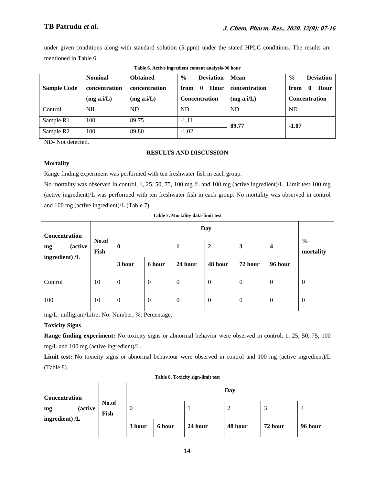under given conditions along with standard solution (5 ppm) under the stated HPLC conditions. The results are mentioned in Table 6.

|                       | <b>Nominal</b> | $\%$<br><b>Deviation</b><br><b>Obtained</b> |                              | <b>Mean</b>   | $\frac{0}{0}$<br><b>Deviation</b> |
|-----------------------|----------------|---------------------------------------------|------------------------------|---------------|-----------------------------------|
| <b>Sample Code</b>    | concentration  | concentration                               | Hour<br>from<br>$\mathbf{0}$ | concentration | Hour<br>from<br>0                 |
|                       | (mg a.i/L)     | (mg a.i/L)                                  | <b>Concentration</b>         | (mg a.i/L)    | <b>Concentration</b>              |
| Control               | <b>NIL</b>     | <b>ND</b>                                   | <b>ND</b>                    | <b>ND</b>     | <b>ND</b>                         |
| Sample R1             | 100            | 89.75                                       | $-1.11$                      | 89.77         | $-1.07$                           |
| Sample R <sub>2</sub> | 100            | 89.80                                       | $-1.02$                      |               |                                   |

**Table 6. Active ingredient content analysis-96 hour**

ND- Not detected.

## **RESULTS AND DISCUSSION**

## **Mortality**

Range finding experiment was performed with ten freshwater fish in each group.

No mortality was observed in control, 1, 25, 50, 75, 100 mg /L and 100 mg (active ingredient)/L. Limit test 100 mg (active ingredient)/L was performed with ten freshwater fish in each group. No mortality was observed in control and 100 mg (active ingredient)/L (Table 7).

| Concentration<br><i>(active)</i><br>mg<br>ingredient) /L |               |              |                  |                     |                |                |                |                            |
|----------------------------------------------------------|---------------|--------------|------------------|---------------------|----------------|----------------|----------------|----------------------------|
|                                                          | No.of<br>Fish | $\bf{0}$     |                  | $\overline{2}$<br>1 |                | 3<br>4         |                | $\frac{6}{6}$<br>mortality |
|                                                          |               | 3 hour       | 6 hour           | 24 hour             | 48 hour        | 72 hour        | 96 hour        |                            |
| Control                                                  | 10            | $\mathbf{0}$ | $\boldsymbol{0}$ | $\overline{0}$      | $\overline{0}$ | $\overline{0}$ | $\mathbf{0}$   | $\theta$                   |
| 100                                                      | 10            | $\mathbf{0}$ | $\mathbf{0}$     | $\overline{0}$      | $\overline{0}$ | $\overline{0}$ | $\overline{0}$ | $\overline{0}$             |

**Table 7. Mortality data-limit test**

mg/L: milligram/Litre; No: Number; %: Percentage.

## **Toxicity Signs**

**Range finding experiment:** No toxicity signs or abnormal behavior were observed in control, 1, 25, 50, 75, 100 mg/L and 100 mg (active ingredient)/L.

**Limit test:** No toxicity signs or abnormal behaviour were observed in control and 100 mg (active ingredient)/L (Table 8).

| Concentration                             | No.of<br>Fish | Day    |        |         |         |         |         |  |
|-------------------------------------------|---------------|--------|--------|---------|---------|---------|---------|--|
| <i>(active)</i><br>mg<br>ingredient) $/L$ |               | 0      |        |         | っ<br>∠  |         | 4       |  |
|                                           |               | 3 hour | 6 hour | 24 hour | 48 hour | 72 hour | 96 hour |  |

## **Table 8. Toxicity sign-limit test**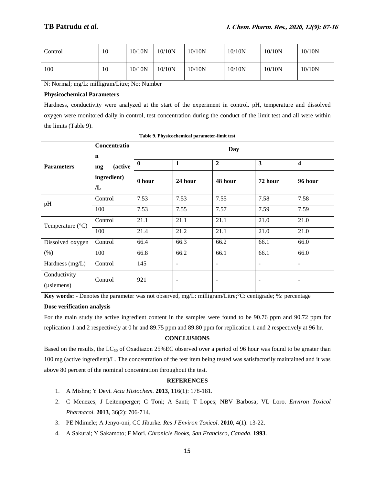| Control | 10 | 10/10N | 10/10N | 10/10N | 10/10N | 10/10N | 10/10N |
|---------|----|--------|--------|--------|--------|--------|--------|
| 100     | 10 | 10/10N | 10/10N | 10/10N | 10/10N | 10/10N | 10/10N |

N: Normal; mg/L: milligram/Litre; No: Number

## **Physicochemical Parameters**

Hardness, conductivity were analyzed at the start of the experiment in control. pH, temperature and dissolved oxygen were monitored daily in control, test concentration during the conduct of the limit test and all were within the limits (Table 9).

|                            | Concentratio<br>$\mathbf n$ | Day      |                          |                          |                          |                          |  |  |  |
|----------------------------|-----------------------------|----------|--------------------------|--------------------------|--------------------------|--------------------------|--|--|--|
| <b>Parameters</b>          | <i>(active)</i><br>mg       | $\bf{0}$ | $\mathbf{1}$             | $\boldsymbol{2}$         | $\mathbf{3}$             | $\overline{\mathbf{4}}$  |  |  |  |
|                            | ingredient)<br>/L           | 0 hour   | 24 hour                  | 48 hour                  | 72 hour                  | 96 hour                  |  |  |  |
| pH                         | Control                     | 7.53     | 7.53                     | 7.55                     | 7.58                     | 7.58                     |  |  |  |
|                            | 100                         | 7.53     | 7.55                     | 7.57                     | 7.59                     | 7.59                     |  |  |  |
| Temperature $(^{\circ}C)$  | Control                     | 21.1     | 21.1                     | 21.1                     | 21.0                     | 21.0                     |  |  |  |
|                            | 100                         | 21.4     | 21.2                     | 21.1                     | 21.0                     | 21.0                     |  |  |  |
| Dissolved oxygen           | Control                     | 66.4     | 66.3                     | 66.2                     | 66.1                     | 66.0                     |  |  |  |
| (% )                       | 100                         | 66.8     | 66.2                     | 66.1                     | 66.1                     | 66.0                     |  |  |  |
| Hardness (mg/L)            | Control                     | 145      | $\overline{\phantom{a}}$ | $\overline{\phantom{a}}$ | $\overline{\phantom{a}}$ | $\overline{\phantom{a}}$ |  |  |  |
| Conductivity<br>(usiemens) | Control                     | 921      | $\overline{\phantom{a}}$ | $\overline{\phantom{a}}$ |                          |                          |  |  |  |

**Table 9. Physicochemical parameter-limit test**

**Key words:** - Denotes the parameter was not observed, mg/L: milligram/Litre;°C: centigrade; %: percentage

## **Dose verification analysis**

For the main study the active ingredient content in the samples were found to be 90.76 ppm and 90.72 ppm for replication 1 and 2 respectively at 0 hr and 89.75 ppm and 89.80 ppm for replication 1 and 2 respectively at 96 hr.

## **CONCLUSIONS**

Based on the results, the LC<sub>50</sub> of Oxadiazon 25%EC observed over a period of 96 hour was found to be greater than 100 mg (active ingredient)/L. The concentration of the test item being tested was satisfactorily maintained and it was above 80 percent of the nominal concentration throughout the test.

## **REFERENCES**

- 1. A Mishra; Y Devi*. Acta Histochem.* **2013**, 116(1): 178-181.
- 2. C Menezes; J Leitemperger; C Toni; A Santi; T Lopes; NBV Barbosa; VL Loro. *Environ Toxicol Pharmacol.* **2013**, 36(2): 706-714.
- 3. PE Ndimele; A Jenyo-oni; CC Jiburke*. Res J Environ Toxicol*. **2010**, 4(1): 13-22.
- 4. A Sakurai; Y Sakamoto; F Mori. *Chronicle Books, San Francisco, Canada*. **1993**.